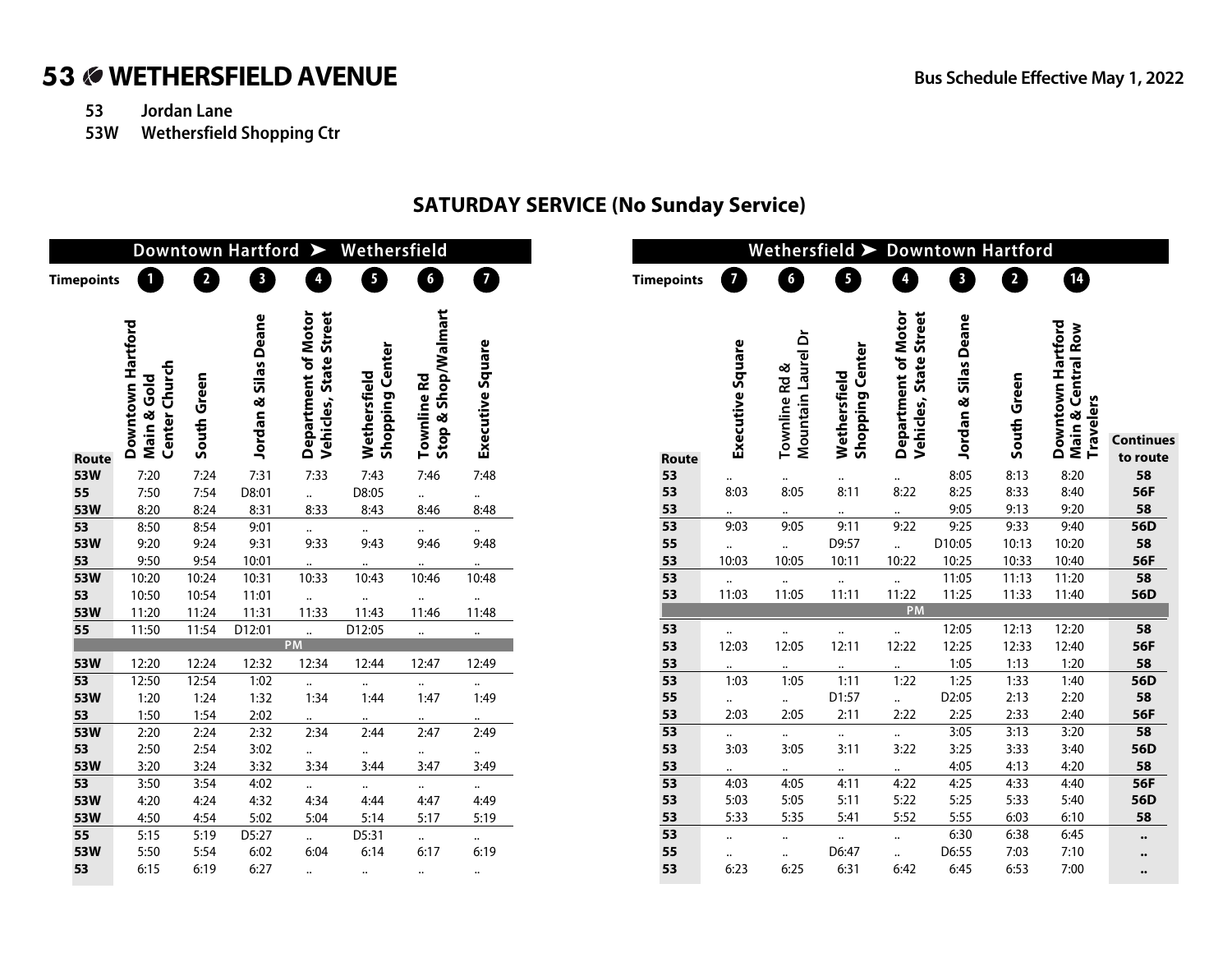**Continues** 

# 53 **WETHERSFIELD AVENUE Bus Schedule Effective May 1, 2022**

- **53 Jordan Lane**
- **53W Wethersfield Shopping Ctr**

### **SATURDAY SERVICE (No Sunday Service)**

|                   | Downtown Hartford ><br>Wethersfield                      |             |                              |                                                            |                                        |                                    |                  |                   |                  |                                               | Wethersfield > Downtown Hartford       |                                                         |                      |             |                                                      |                      |  |  |
|-------------------|----------------------------------------------------------|-------------|------------------------------|------------------------------------------------------------|----------------------------------------|------------------------------------|------------------|-------------------|------------------|-----------------------------------------------|----------------------------------------|---------------------------------------------------------|----------------------|-------------|------------------------------------------------------|----------------------|--|--|
| <b>Timepoints</b> | Ω                                                        | 2           | Ð                            | Ø                                                          | ❸                                      | 6                                  | $\boldsymbol{a}$ | <b>Timepoints</b> | $\overline{7}$   | G                                             | 6                                      | 4                                                       | 8                    | 2           | $\bf \Phi$                                           |                      |  |  |
| <b>Route</b>      | Downtown Hartford<br><b>Center Church</b><br>Main & Gold | South Green | s Deane<br>Sila:<br>Jordan & | Street<br>Department of Motor<br><b>State</b><br>Vehicles, | <b>Shopping Center</b><br>Wethersfield | Stop & Shop/Walmart<br>Townline Rd | Executive Square | <b>Route</b>      | Executive Square | Mountain Laurel Dr<br>ళ<br><b>Townline Rd</b> | <b>Shopping Center</b><br>Wethersfield | Department of Motor<br><b>State Street</b><br>Vehicles, | Jordan & Silas Deane | South Green | Downtown Hartford<br>Main & Central Row<br>Travelers | Continue<br>to route |  |  |
| 53W               | 7:20                                                     | 7:24        | 7:31                         | 7:33                                                       | 7:43                                   | 7:46                               | 7:48             | 53                | $\ddotsc$        | $\ldots$                                      | $\ldots$                               | $\ddotsc$                                               | 8:05                 | 8:13        | 8:20                                                 | 58                   |  |  |
| 55                | 7:50                                                     | 7:54        | D8:01                        | $\ddotsc$                                                  | D8:05                                  | $\cdots$                           | $\ddotsc$        | 53                | 8:03             | 8:05                                          | 8:11                                   | 8:22                                                    | 8:25                 | 8:33        | 8:40                                                 | 56F                  |  |  |
| 53W               | 8:20                                                     | 8:24        | 8:31                         | 8:33                                                       | 8:43                                   | 8:46                               | 8:48             | 53                |                  |                                               |                                        |                                                         | 9:05                 | 9:13        | 9:20                                                 | 58                   |  |  |
| 53                | 8:50                                                     | 8:54        | 9:01                         | $\ddotsc$                                                  | $\bullet\bullet$                       | $\cdots$                           | $\ddotsc$        | 53                | 9:03             | 9:05                                          | 9:11                                   | 9:22                                                    | 9:25                 | 9:33        | 9:40                                                 | 56D                  |  |  |
| 53W               | 9:20                                                     | 9:24        | 9:31                         | 9:33                                                       | 9:43                                   | 9:46                               | 9:48             | 55                | $\ddotsc$        | $\cdots$                                      | D9:57                                  | $\ddot{\phantom{a}}$                                    | D10:05               | 10:13       | 10:20                                                | 58                   |  |  |
| 53                | 9:50                                                     | 9:54        | 10:01                        | $\ddotsc$                                                  | $\ddotsc$                              |                                    | $\ddotsc$        | 53                | 10:03            | 10:05                                         | 10:11                                  | 10:22                                                   | 10:25                | 10:33       | 10:40                                                | 56F                  |  |  |
| 53W               | 10:20                                                    | 10:24       | 10:31                        | 10:33                                                      | 10:43                                  | 10:46                              | 10:48            | 53                | $\ddotsc$        | $\ddotsc$                                     | $\ddotsc$                              | $\ddot{\phantom{1}}$                                    | 11:05                | 11:13       | 11:20                                                | 58                   |  |  |
| 53                | 10:50                                                    | 10:54       | 11:01                        | $\ddotsc$                                                  | $\bullet\bullet$                       | $\ddotsc$                          | $\ddotsc$        | 53                | 11:03            | 11:05                                         | 11:11                                  | 11:22                                                   | 11:25                | 11:33       | 11:40                                                | 56D                  |  |  |
| 53W               | 11:20                                                    | 11:24       | 11:31                        | 11:33                                                      | 11:43                                  | 11:46                              | 11:48            |                   |                  |                                               |                                        | PM                                                      |                      |             |                                                      |                      |  |  |
| 55                | 11:50                                                    | 11:54       | D12:01                       | $\ddotsc$                                                  | D12:05                                 | $\ddot{\phantom{0}}$               | $\ddotsc$        | 53                | $\ddotsc$        | $\ddotsc$                                     | $\ddotsc$                              | $\ddot{\phantom{1}}$                                    | 12:05                | 12:13       | 12:20                                                | 58                   |  |  |
|                   |                                                          |             |                              | <b>PM</b>                                                  |                                        |                                    |                  | 53                | 12:03            | 12:05                                         | 12:11                                  | 12:22                                                   | 12:25                | 12:33       | 12:40                                                | 56F                  |  |  |
| 53W               | 12:20                                                    | 12:24       | 12:32                        | 12:34                                                      | 12:44                                  | 12:47                              | 12:49            | 53                | $\cdots$         | $\bullet\bullet$                              | $\bullet\bullet$                       | $\ddotsc$                                               | 1:05                 | 1:13        | 1:20                                                 | 58                   |  |  |
| $\overline{53}$   | 12:50                                                    | 12:54       | 1:02                         | $\ddotsc$                                                  | $\ddotsc$                              | $\ddotsc$                          |                  | 53                | 1:03             | 1:05                                          | 1:11                                   | 1:22                                                    | 1:25                 | 1:33        | 1:40                                                 | 56D                  |  |  |
| 53W               | 1:20                                                     | 1:24        | 1:32                         | 1:34                                                       | 1:44                                   | 1:47                               | 1:49             | 55                | $\cdots$         | $\cdots$                                      | D1:57                                  | $\ddot{\phantom{a}}$                                    | D2:05                | 2:13        | 2:20                                                 | 58                   |  |  |
| 53                | 1:50                                                     | 1:54        | 2:02                         | $\ddotsc$                                                  | $\ddotsc$                              | $\ddotsc$                          | $\ddotsc$        | 53                | 2:03             | 2:05                                          | 2:11                                   | 2:22                                                    | 2:25                 | 2:33        | 2:40                                                 | 56F                  |  |  |
| 53W               | 2:20                                                     | 2:24        | 2:32                         | 2:34                                                       | 2:44                                   | 2:47                               | 2:49             | $\overline{53}$   | $\cdots$         | $\cdots$                                      | $\ddotsc$                              | $\ddotsc$                                               | 3:05                 | 3:13        | 3:20                                                 | 58                   |  |  |
| 53                | 2:50                                                     | 2:54        | 3:02                         | $\ddotsc$                                                  | $\cdots$                               | $\ddotsc$                          | $\ddotsc$        | 53                | 3:03             | 3:05                                          | 3:11                                   | 3:22                                                    | 3:25                 | 3:33        | 3:40                                                 | 56D                  |  |  |
| 53W               | 3:20                                                     | 3:24        | 3:32                         | 3:34                                                       | 3:44                                   | 3:47                               | 3:49             | 53                | $\ddotsc$        | $\ddotsc$                                     | $\cdots$                               | $\ddotsc$                                               | 4:05                 | 4:13        | 4:20                                                 | 58                   |  |  |
| 53                | 3:50                                                     | 3:54        | 4:02                         | $\ddotsc$                                                  | $\cdots$                               | $\cdots$                           | $\cdots$         | 53                | 4:03             | 4:05                                          | 4:11                                   | 4:22                                                    | 4:25                 | 4:33        | 4:40                                                 | 56F                  |  |  |
| 53W               | 4:20                                                     | 4:24        | 4:32                         | 4:34                                                       | 4:44                                   | 4:47                               | 4:49             | 53                | 5:03             | 5:05                                          | 5:11                                   | 5:22                                                    | 5:25                 | 5:33        | 5:40                                                 | 56D                  |  |  |
| 53W               | 4:50                                                     | 4:54        | 5:02                         | 5:04                                                       | 5:14                                   | 5:17                               | 5:19             | 53                | 5:33             | 5:35                                          | 5:41                                   | 5:52                                                    | 5:55                 | 6:03        | 6:10                                                 | 58                   |  |  |
| 55                | 5:15                                                     | 5:19        | D5:27                        | $\ddotsc$                                                  | D5:31                                  | $\ddotsc$                          | $\ddotsc$        | 53                | $\cdots$         | $\ddotsc$                                     | $\cdots$                               | $\ddotsc$                                               | 6:30                 | 6:38        | 6:45                                                 | $\bullet\bullet$     |  |  |
| 53W               | 5:50                                                     | 5:54        | 6:02                         | 6:04                                                       | 6:14                                   | 6:17                               | 6:19             | 55                | $\ddotsc$        | $\ddotsc$                                     | D6:47                                  | $\ddot{\phantom{a}}$                                    | D6:55                | 7:03        | 7:10                                                 | $\bullet\bullet$     |  |  |
| 53                | 6:15                                                     | 6:19        | 6:27                         | $\ddotsc$                                                  | $\ddotsc$                              | $\ddot{\phantom{a}}$               | $\ddotsc$        | 53                | 6:23             | 6:25                                          | 6:31                                   | 6:42                                                    | 6:45                 | 6:53        | 7:00                                                 | $\bullet\bullet$     |  |  |